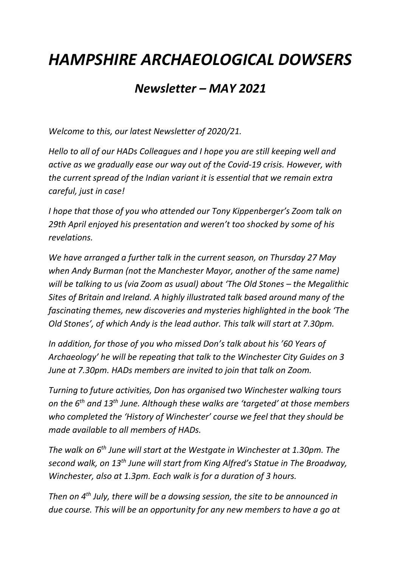## *HAMPSHIRE ARCHAEOLOGICAL DOWSERS*

## *Newsletter – MAY 2021*

*Welcome to this, our latest Newsletter of 2020/21.*

*Hello to all of our HADs Colleagues and I hope you are still keeping well and active as we gradually ease our way out of the Covid-19 crisis. However, with the current spread of the Indian variant it is essential that we remain extra careful, just in case!*

*I hope that those of you who attended our Tony Kippenberger's Zoom talk on 29th April enjoyed his presentation and weren't too shocked by some of his revelations.*

*We have arranged a further talk in the current season, on Thursday 27 May when Andy Burman (not the Manchester Mayor, another of the same name) will be talking to us (via Zoom as usual) about 'The Old Stones – the Megalithic Sites of Britain and Ireland. A highly illustrated talk based around many of the fascinating themes, new discoveries and mysteries highlighted in the book 'The Old Stones', of which Andy is the lead author. This talk will start at 7.30pm.*

*In addition, for those of you who missed Don's talk about his '60 Years of Archaeology' he will be repeating that talk to the Winchester City Guides on 3 June at 7.30pm. HADs members are invited to join that talk on Zoom.*

*Turning to future activities, Don has organised two Winchester walking tours on the 6th and 13th June. Although these walks are 'targeted' at those members who completed the 'History of Winchester' course we feel that they should be made available to all members of HADs.*

*The walk on 6th June will start at the Westgate in Winchester at 1.30pm. The second walk, on 13th June will start from King Alfred's Statue in The Broadway, Winchester, also at 1.3pm. Each walk is for a duration of 3 hours.*

*Then on 4th July, there will be a dowsing session, the site to be announced in due course. This will be an opportunity for any new members to have a go at*